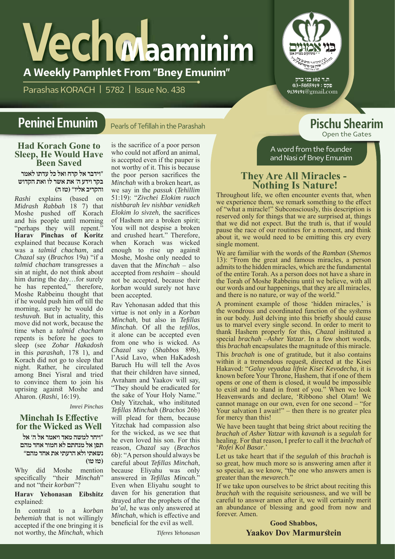# **A Weekly Pamphlet From "Bney Emunim" Vechol Maaminim**

Parashas KORACH | 5782 | Issue No. 438



ת.ד 102 בני ברק פקס : 03-5055919 9139191@gmail.com

A word from the founder and Nasi of Bney Emunim

Open the Gates

#### Pearls of Tefillah in the Parashah **Peninei Emunim Pischu Shearim**

#### **Had Korach Gone to Sleep, He Would Have Been Saved**

**"וידבר אל קרח ואלכל עדתולאמר בקרוידע ה' את אשרלו ואת הקדוש והקריב אליו" (טז ה)**

*Rashi* explains (based on *Midrash Rabbah* 18 7) that Moshe pushed off Korach and his people until morning "perhaps they will repent." **Harav Pinchas of Koritz**  explained that because Korach was a *talmid chacham*, and *Chazal* say (*Brachos* 19a) "if a *talmid chacham* transgresses a sin at night, do not think about him during the day…for surely he has repented," therefore, Moshe Rabbeinu thought that if he would push him off till the morning, surely he would do *teshuvah*. But in actuality, this move did not work, because the time when a *talmid chacham* repents is before he goes to sleep (see *Zohar Hakadosh* in this *parashah*, 178 1), and Korach did not go to sleep that night. Rather, he circulated among Bnei Yisral and tried to convince them to join his uprising against Moshe and Aharon. (*Rashi*, 16:19).

*Imrei Pinchas*

#### **Minchah Is Effective for the Wicked as Well**

**"ויחרלמשה מאדויאמר אל ה' אל תפן אל מנחתם לא חמור אחד מהם נשאתי ולא הרעתי את אחד מהם" (טז טו)**

Why did Moshe mention specifically "their *Minchah*" and not "their *korban*"?

#### **Harav Yehonasan Eibshitz**  explained:

In contrast to a *korban behemiah* that is not willingly accepted if the one bringing it is not worthy, the *Minchah*, which

is the sacrifice of a poor person who could not afford an animal, is accepted even if the pauper is not worthy of it. This is because the poor person sacrifices the *Minchah* with a broken heart, as we say in the *passuk* (*Tehillim* 51:19): "*Zivchei Elokim ruach nishbarah lev nishbar venidkeh Elokim lo sivzeh*, the sacrifices of Hashem are a broken spirit; You will not despise a broken and crushed heart." Therefore, when Korach was wicked enough to rise up against Moshe, Moshe only needed to daven that the *Minchah* – also accepted from *reshaim* – should not be accepted, because their *korban* would surely not have been accepted.

Rav Yehonasan added that this virtue is not only in a *Korban Minchah*, but also in *Tefillas Minchah*. Of all the *tefillos*, it alone can be accepted even from one who is wicked. As *Chazal* say (*Shabbos* 89b), l'Asid Lavo, when HaKadosh Baruch Hu will tell the Avos that their children have sinned, Avraham and Yaakov will say, "They should be eradicated for the sake of Your Holy Name." Only Yitzchak, who instituted *Tefillas Minchah* (*Brachos* 26b) will plead for them, because Yitzchak had compassion also for the wicked, as we see that he even loved his son. For this reason, *Chazal* say (*Brachos* 6b): "A person should always be careful about *Tefillas Minchah*, because Eliyahu was only answered in *Tefillas Mincah*." Even when Eliyahu sought to daven for his generation that strayed after the prophets of the *ba'al*, he was only answered at *Minchah*, which is effective and beneficial for the evil as well.

*Tiferes Yehonasan*

## **They Are All Miracles - Nothing Is Nature!**

Throughout life, we often encounter events that, when we experience them, we remark something to the effect of "what a miracle!" Subconsciously, this description is reserved only for things that we are surprised at, things that we did not expect. But the truth is, that if would pause the race of our routines for a moment, and think about it, we would need to be emitting this cry every single moment.

We are familiar with the words of the *Ramban* (*Shemos* 13): "From the great and famous miracles, a person admits to the hidden miracles, which are the fundamental of the entire Torah. As a person does not have a share in the Torah of Moshe Rabbeinu until we believe, with all our words and our happenings, that they are all miracles, and there is no nature, or way of the world."

A prominent example of those 'hidden miracles,' is the wondrous and coordinated function of the systems in our body. Just delving into this briefly should cause us to marvel every single second. In order to merit to thank Hashem properly for this, *Chazal* instituted a special *brachah* –*Asher Yatzar*. In a few short words, this *brachah* encapsulates the magnitude of this miracle.

This *brachah* is one of gratitude, but it also contains within it a tremendous request, directed at the Kisei Hakavod: "*Galuy veyadua lifnie Kisei Kevodecha,* it is known before Your Throne, Hashem, that if one of them opens or one of them is closed, it would be impossible to exist and to stand in front of you." When we look Heavenwards and declare, 'Ribbono shel Olam! We cannot manage on our own, even for one second – "for Your salvation I await!"  $-$  then there is no greater plea for mercy than this!

We have been taught that being strict about reciting the *brachah* of *Asher Yatzar* with *kavanah* is a *segulah* for healing. For that reason, I prefer to call it the *brachah* of '*Rofei Kol Basar*.'

Let us take heart that if the *segulah* of this *brachah* is so great, how much more so is answering amen after it so special, as we know, "the one who answers amen is greater than the *mevarech*."

If we take upon ourselves to be strict about reciting this *brachah* with the requisite seriousness, and we will be careful to answer amen after it, we will certainly merit an abundance of blessing and good from now and forever. Amen.

> **Good Shabbos, Yaakov Dov Marmurstein**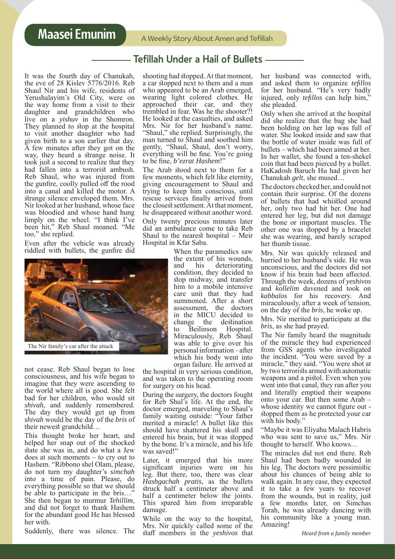#### Tefillah Under a Hail of Bullets

It was the fourth day of Chanukah, the eve of 28 Kislev 5776/2016. Reb Shaul Nir and his wife, residents of Yerushalayim's Old City, were on the way home from a visit to their daughter and grandchildren who live on a *yishuv* in the Shomron. They planned to stop at the hospital to visit another daughter who had given birth to a son earlier that day. A few minutes after they got on the way, they heard a strange noise. It took just a second to realize that they had fallen into a terrorist ambush. Reb Shaul, who was injured from the gunfire, coolly pulled off the rood into a canal and killed the motor. A strange silence enveloped them. Mrs. Nir looked at her husband, whose face was bloodied and whose hand hung limply on the wheel. "I think I've been hit," Reb Shaul moaned. "Me too," she replied.

Even after the vehicle was already riddled with bullets, the gunfire did



not cease. Reb Shaul began to lose consciousness, and his wife began to imagine that they were ascending to the world where all is good. She felt bad for her children, who would sit *shivah*, and suddenly remembered. The day they would get up from *shivah* would be the day of the *bris* of their newest grandchild…

This thought broke her heart, and helped her snap out of the shocked state she was in, and do what a Jew does at such moments – to cry out to Hashem. "Ribbono shel Olam, please, do not turn my daughter's *simchah* into a time of pain. Please, do everything possible so that we should be able to participate in the bris…" She then began to murmur *Tehillim*, and did not forget to thank Hashem for the abundant good He has blessed her with.

Suddenly, there was silence. The

shooting had stopped. At that moment, a car stopped next to them and a man who appeared to be an Arab emerged, wearing light colored clothes. He approached their car, and they trembled in fear. Was he the shooter?! He looked at the casualties, and asked Mrs. Nir for her husband's name. "Shaul," she replied. Surprisingly, the man turned to Shaul and soothed him gently, "Shaul, Shaul, don't worry, everything will be fine. You're going to be fine, *b'ezrat Hashem*!"

The Arab stood next to them for a few moments, which felt like eternity, giving encouragement to Shaul and trying to keep him conscious, until rescue services finally arrived from the closest settlement. At that moment, he disappeared without another word. Only twenty precious minutes later did an ambulance come to take Reb Shaul to the nearest hospital – Meir Hospital in Kfar Saba.

> When the paramedics saw the extent of his wounds,<br>and his deteriorating deteriorating condition, they decided to stop midway, and transfer him to a mobile intensive care unit that they had summoned. After a short assessment, the doctors in the MICU decided to change the destination to Beilinson Hospital. Miraculously, Reb Shaul was able to give over his personal information – after which his body went into organ failure. He arrived at

the hospital in very serious condition, and was taken to the operating room for surgery on his head.

During the surgery, the doctors fought for Reb Shul's life. At the end, the doctor emerged, marveling to Shaul's family waiting outside: "Your father merited a miracle! A bullet like this should have shattered his skull and entered his brain, but it was stopped by the bone. It's a miracle, and his life was saved!"

Later, it emerged that his more significant injuries were on his leg. But there, too, there was clear *Hashgachah pratis*, as the bullets struck half a centimeter above and half a centimeter below the joints. This spared him from irreparable damage.

While on the way to the hospital, Mrs. Nir quickly called some of the staff members in the *yeshivos* that

her husband was connected with, and asked them to organize *tefillos* for her husband. "He's very badly injured, only *tefillos* can help him,<sup>5</sup> she pleaded.

Only when she arrived at the hospital did she realize that the bag she had been holding on her lap was full of water. She looked inside and saw that the bottle of water inside was full of bullets – which had been aimed at her. In her wallet, she found a ten-shekel coin that had been pierced by a bullet. HaKadosh Baruch Hu had given her Chanukah *gelt*, she mused…

The doctors checked her, and could not contain their surprise. Of the dozens of bullets that had whistled around her, only two had hit her. One had entered her leg, but did not damage the bone or important muscles. The other one was stopped by a bracelet she was wearing, and barely scraped her thumb tissue.

Mrs. Nir was quickly released and hurried to her husband's side. He was unconscious, and the doctors did not know if his brain had been affected. Through the week, dozens of *yeshivos* and *kollelim* davened and took on *kabbalos* for his recovery. And miraculously, after a week of tension, on the day of the *bris*, he woke up.

Mrs. Nir merited to participate at the *bris*, as she had prayed.

The Nir family heard the magnitude of the miracle they had experienced from GSS agents who investigated the incident. "You were saved by a miracle," they said. "You were shot at by two terrorists armed with automatic weapons and a pistol. Even when you went into that canal, they ran after you and literally emptied their weapons onto your car. But then some Arab – whose identity we cannot figure out stopped them as he protected your car with his body."

"Maybe it was Eliyahu Malach Habris who was sent to save us," Mrs. Nir thought to herself. Who knows…

The miracles did not end there. Reb Shaul had been badly wounded in his leg. The doctors were pessimistic about his chances of being able to walk again. In any case, they expected it to take a few years to recover from the wounds, but in reality, just a few months later, on Simchas Torah, he was already dancing with his community like a young man. Amazing!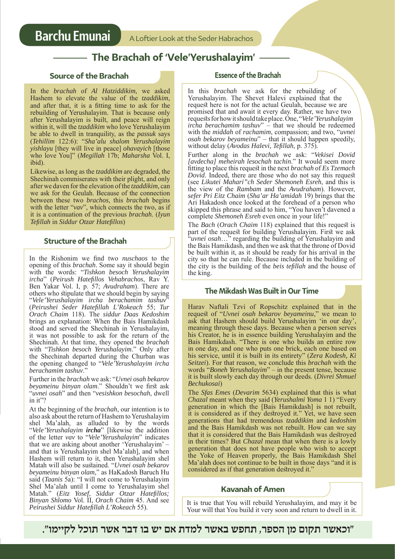### **The Brachah of 'Vele'Yerushalayim'**

#### **Source of the Brachah**

In the *brachah* of *Al Hatziddikim*, we asked Hashem to elevate the value of the *tzaddikim*, and after that, it is a fitting time to ask for the rebuilding of Yerushalayim. That is because only after Yerushalayim is built, and peace will reign within it, will the *tzaddikim* who love Yerushalayim be able to dwell in tranquility, as the *passuk* says (*Tehillim* 122:6): "*Sha'alu shalom Yerushalayim yishlayu* [they will live in peace] *ohavayich* [those who love You]" (Megillah 17b; Maharsha Vol. I, ibid).

Likewise, as long as the *tzaddikim* are degraded, the Shechinah commiserates with their plight, and only after we daven for the elevation of the *tzaddikim*, can we ask for the Geulah. Because of the connection between these two *brachos*, this *brachah* begins with the letter "*vav*", which connects the two, as if it is a continuation of the previous *brachah*. (*Iyun Tefillah* in *Siddur Otzar Hatefillos*)

#### **Structure of the Brachah**

In the Rishonim we find two *nuschaos* to the opening of this *brachah*. Some say it should begin with the words: "*Tishkon besoch Yerushalayim ircha*" (*Peirush Hatefillos Vehabrachos*, Rav Y. Ben Yakar Vol. I, p. 57; *Avudraham*). There are others who stipulate that we should begin by saying "*Vele'Yerushalayim ircha berachamim tashuv*" (*Peirushei Seder Hatefillah L'Rokeach* 55; *Tur Orach Chaim* 118). The *siddur Daas Kedoshim* brings an explanation: When the Bais Hamikdash stood and served the Shechinah in Yerushalayim, it was not possible to ask for the return of the Shechinah. At that time, they opened the *brachah* with "*Tishkon besoch Yerushalayim*." Only after the Shechinah departed during the Churban was the opening changed to "*Vele'Yerushalayim ircha berachamim tashuv*."

Further in the *brachah* we ask: "*Uvnei osah bekarov beyameinu binyan olam*." Shouldn't we first ask "*uvnei osah*" and then "*vesishkon besochah*, dwell in it"?

At the beginning of the *brachah*, our intention is to also ask about the return of Hashem to Yerushalayim shel Ma'alah, as alluded to by the words "*Vele'Yerushalayim ircha*" [likewise the addition of the letter *vav* to "*Vele'Yerushalayim*" indicates that we are asking about another 'Yerushalayim' and that is Yerushalayim shel Ma'alah], and when Hashem will return to it, then Yerushalayim shel Matah will also be sustained. "*Uvnei osah bekarov beyameinu binyan olam*," as HaKadosh Baruch Hu said (*Taanis* 5a): "I will not come to Yerushalayim Shel Ma'alah until I come to Yerushalayim shel Matah." (*Eitz Yosef, Siddur Otzar Hatefillos; Binyan Shlomo* Vol. II, *Orach Chaim* 45. And see *Peirushei Siddur Hatefillah L'Rokeach* 55).

#### **Essence of the Brachah**

In this *brachah* we ask for the rebuilding of Yerushalayim. The Shevet Halevi explained that the request here is not for the actual Geulah, because we are promised that and await it every day. Rather, we have two requests for how it should take place. One, "*Vele'Yerushalayim ircha berachamim tashuv*" – that we should be redeemed with the *middah* of *rachamim*, compassion; and two, "*uvnei osah bekarov beyameinu*" – that it should happen speedily, without delay (*Avodas Halevi, Tefillah*, p. 375).

Further along in the *brachah* we ask: "*Vekisei Dovid [avdecha] meheirah lesochah tachin*." It would seem more fitting to place this request in the next *brachah* of *Es Tzemach Dovid*. Indeed, there are those who do not say this request (see *Likutei Mahari"ch Seder Shemoneh Esreh*, and this is the view of the *Rambam* and the *Avudraham*). However, *sefer Pri Eitz Chaim* (*Sha'ar Ha'amidah* 19) brings that the Ari Hakadosh once looked at the forehead of a person who skipped this phrase and said to him, "You haven't davened a complete *Shemoneh Esreh* even once in your life!"

The *Bach* (*Orach Chaim* 118) explained that this request is part of the request for building Yerushalayim. First we ask "*uvnei osah*…" regarding the building of Yerushalayim and the Bais Hamikdash, and then we ask that the throne of Dovid be built within it, as it should be ready for his arrival in the city so that he can rule. Because included in the building of the city is the building of the *beis tefillah* and the house of the king.

#### **The Mikdash Was Built in Our Time**

Harav Naftali Tzvi of Ropschitz explained that in the request of "*Uvnei osah bekarov beyameinu*," we mean to ask that Hashem should build Yerushalayim 'in our day', meaning through these days. Because when a person serves his Creator, he is in essence building Yerushalayim and the Bais Hamikdash. "There is one who builds an entire row in one day, and one who puts one brick, each one based on his service, until it is built in its entirety" (*Zera Kodesh, Ki Seitzei*). For that reason, we conclude this *brachah* with the words "*Boneh Yerushalayim*" – in the present tense, because it is built slowly each day through our deeds. (*Divrei Shmuel Bechukosai*)

The *Sfas Emes* (*Devarim* 5634) explained that this is what *Chazal* meant when they said (*Yerushalmi Yoma* 1 1) "Every generation in which the [Bais Hamikdash] is not rebuilt, it is considered as if they destroyed it." Yet, we have seen generations that had tremendous *tzaddikim* and *kedoshim*  and the Bais Hamikdash was not rebuilt. How can we say that it is considered that the Bais Hamikdash was destroyed in their times? But *Chazal* mean that when there is a lowly generation that does not have people who wish to accept the Yoke of Heaven properly, the Bais Hamikdash Shel Ma'alah does not continue to be built in those days "and it is considered as if that generation destroyed it."

**Kavanah of Amen**

It is true that You will rebuild Yerushalayim, and may it be Your will that You build it very soon and return to dwell in it.

**"וכאשר תקום מן הספר, תחפש באשר למדת אם יש בו דבר אשר תוכל לקיימו".**